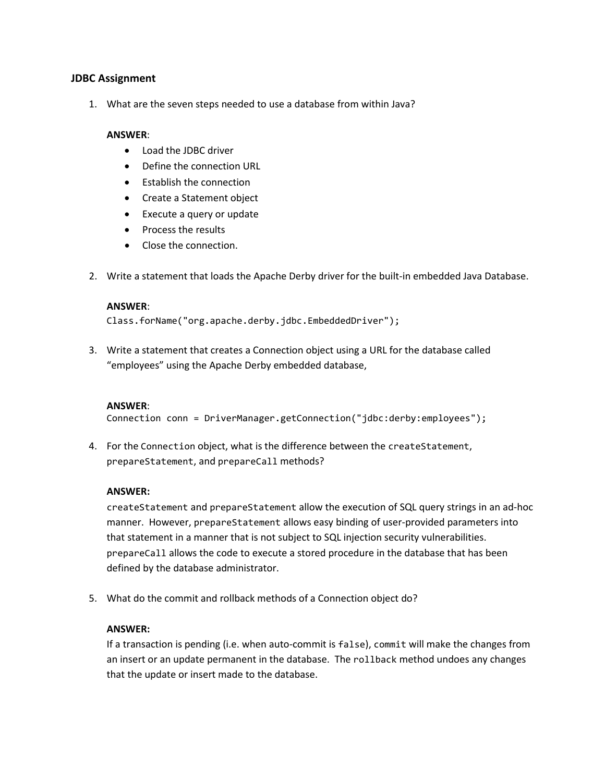### **JDBC Assignment**

1. What are the seven steps needed to use a database from within Java?

#### **ANSWER**:

- Load the JDBC driver
- Define the connection URL
- Establish the connection
- Create a Statement object
- Execute a query or update
- Process the results
- Close the connection.
- 2. Write a statement that loads the Apache Derby driver for the built-in embedded Java Database.

#### **ANSWER**:

Class.forName("org.apache.derby.jdbc.EmbeddedDriver");

3. Write a statement that creates a Connection object using a URL for the database called "employees" using the Apache Derby embedded database,

### **ANSWER**:

Connection conn = DriverManager.getConnection("jdbc:derby:employees");

4. For the Connection object, what is the difference between the createStatement, prepareStatement, and prepareCall methods?

### **ANSWER:**

createStatement and prepareStatement allow the execution of SQL query strings in an ad-hoc manner. However, prepareStatement allows easy binding of user-provided parameters into that statement in a manner that is not subject to SQL injection security vulnerabilities. prepareCall allows the code to execute a stored procedure in the database that has been defined by the database administrator.

5. What do the commit and rollback methods of a Connection object do?

### **ANSWER:**

If a transaction is pending (i.e. when auto-commit is false), commit will make the changes from an insert or an update permanent in the database. The rollback method undoes any changes that the update or insert made to the database.